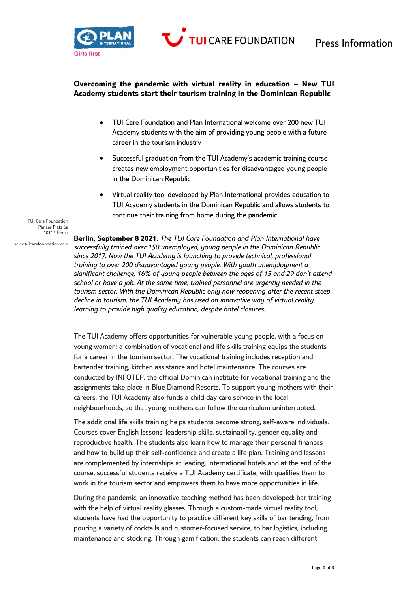

TUI CARE FOUNDATION

## **Overcoming the pandemic with virtual reality in education – New TUI Academy students start their tourism training in the Dominican Republic**

- TUI Care Foundation and Plan International welcome over 200 new TUI Academy students with the aim of providing young people with a future career in the tourism industry
- Successful graduation from the TUI Academy's academic training course creates new employment opportunities for disadvantaged young people in the Dominican Republic
- Virtual reality tool developed by Plan International provides education to TUI Academy students in the Dominican Republic and allows students to continue their training from home during the pandemic

TUI Care Foundation Pariser Platz 6a 10117 Berlin

www.tuicarefoundation.com

**Berlin, September 8 2021***. The TUI Care Foundation and Plan International have successfully trained over 150 unemployed, young people in the Dominican Republic since 2017. Now the TUI Academy is launching to provide technical, professional training to over 200 disadvantaged young people. With youth unemployment a significant challenge; 16% of young people between the ages of 15 and 29 don't attend school or have a job. At the same time, trained personnel are urgently needed in the tourism sector. With the Dominican Republic only now reopening after the recent steep decline in tourism, the TUI Academy has used an innovative way of virtual reality learning to provide high quality education, despite hotel closures.*

The TUI Academy offers opportunities for vulnerable young people, with a focus on young women; a combination of vocational and life skills training equips the students for a career in the tourism sector. The vocational training includes reception and bartender training, kitchen assistance and hotel maintenance. The courses are conducted by INFOTEP, the official Dominican institute for vocational training and the assignments take place in Blue Diamond Resorts. To support young mothers with their careers, the TUI Academy also funds a child day care service in the local neighbourhoods, so that young mothers can follow the curriculum uninterrupted.

The additional life skills training helps students become strong, self-aware individuals. Courses cover English lessons, leadership skills, sustainability, gender equality and reproductive health. The students also learn how to manage their personal finances and how to build up their self-confidence and create a life plan. Training and lessons are complemented by internships at leading, international hotels and at the end of the course, successful students receive a TUI Academy certificate, with qualifies them to work in the tourism sector and empowers them to have more opportunities in life.

During the pandemic, an innovative teaching method has been developed: bar training with the help of virtual reality glasses. Through a custom-made virtual reality tool, students have had the opportunity to practice different key skills of bar tending, from pouring a variety of cocktails and customer-focused service, to bar logistics, including maintenance and stocking. Through gamification, the students can reach different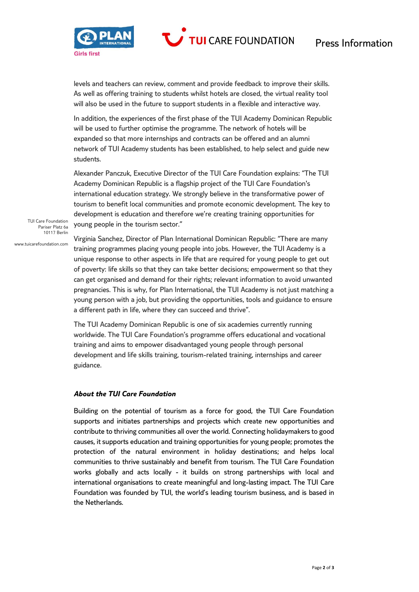

**TUI CARE FOUNDATION** 

levels and teachers can review, comment and provide feedback to improve their skills. As well as offering training to students whilst hotels are closed, the virtual reality tool will also be used in the future to support students in a flexible and interactive way.

In addition, the experiences of the first phase of the TUI Academy Dominican Republic will be used to further optimise the programme. The network of hotels will be expanded so that more internships and contracts can be offered and an alumni network of TUI Academy students has been established, to help select and guide new students.

Alexander Panczuk, Executive Director of the TUI Care Foundation explains: "The TUI Academy Dominican Republic is a flagship project of the TUI Care Foundation's international education strategy. We strongly believe in the transformative power of tourism to benefit local communities and promote economic development. The key to development is education and therefore we're creating training opportunities for young people in the tourism sector."

TUI Care Foundation Pariser Platz 6a 10117 Berlin

www.tuicarefoundation.com

Virginia Sanchez, Director of Plan International Dominican Republic: "There are many training programmes placing young people into jobs. However, the TUI Academy is a unique response to other aspects in life that are required for young people to get out of poverty: life skills so that they can take better decisions; empowerment so that they can get organised and demand for their rights; relevant information to avoid unwanted pregnancies. This is why, for Plan International, the TUI Academy is not just matching a young person with a job, but providing the opportunities, tools and guidance to ensure a different path in life, where they can succeed and thrive".

The TUI Academy Dominican Republic is one of six academies currently running worldwide. The TUI Care Foundation's programme offers educational and vocational training and aims to empower disadvantaged young people through personal development and life skills training, tourism-related training, internships and career guidance.

## *About the TUI Care Foundation*

Building on the potential of tourism as a force for good, the TUI Care Foundation supports and initiates partnerships and projects which create new opportunities and contribute to thriving communities all over the world. Connecting holidaymakers to good causes, it supports education and training opportunities for young people; promotes the protection of the natural environment in holiday destinations; and helps local communities to thrive sustainably and benefit from tourism. The TUI Care Foundation works globally and acts locally - it builds on strong partnerships with local and international organisations to create meaningful and long-lasting impact. The TUI Care Foundation was founded by TUI, the world's leading tourism business, and is based in the Netherlands.